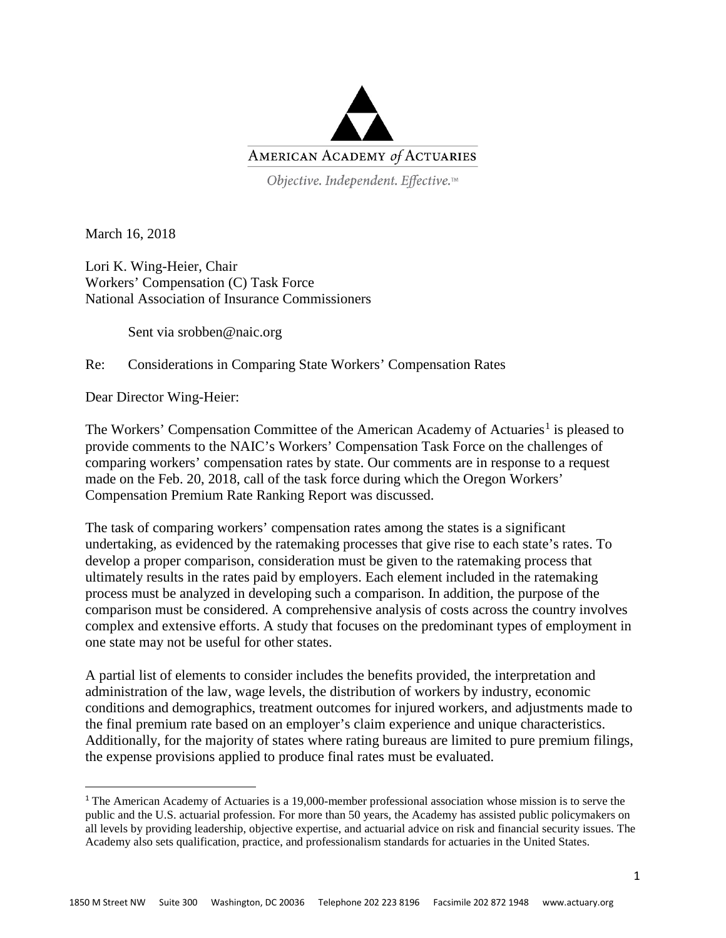

Objective. Independent. Effective.™

March 16, 2018

Lori K. Wing-Heier, Chair Workers' Compensation (C) Task Force National Association of Insurance Commissioners

Sent via srobben@naic.org

Re: Considerations in Comparing State Workers' Compensation Rates

Dear Director Wing-Heier:

The Workers' Compensation Committee of the American Academy of Actuaries<sup>[1](#page-0-0)</sup> is pleased to provide comments to the NAIC's Workers' Compensation Task Force on the challenges of comparing workers' compensation rates by state. Our comments are in response to a request made on the Feb. 20, 2018, call of the task force during which the Oregon Workers' Compensation Premium Rate Ranking Report was discussed.

The task of comparing workers' compensation rates among the states is a significant undertaking, as evidenced by the ratemaking processes that give rise to each state's rates. To develop a proper comparison, consideration must be given to the ratemaking process that ultimately results in the rates paid by employers. Each element included in the ratemaking process must be analyzed in developing such a comparison. In addition, the purpose of the comparison must be considered. A comprehensive analysis of costs across the country involves complex and extensive efforts. A study that focuses on the predominant types of employment in one state may not be useful for other states.

A partial list of elements to consider includes the benefits provided, the interpretation and administration of the law, wage levels, the distribution of workers by industry, economic conditions and demographics, treatment outcomes for injured workers, and adjustments made to the final premium rate based on an employer's claim experience and unique characteristics. Additionally, for the majority of states where rating bureaus are limited to pure premium filings, the expense provisions applied to produce final rates must be evaluated.

<span id="page-0-0"></span> <sup>1</sup> The American Academy of Actuaries is a 19,000-member professional association whose mission is to serve the public and the U.S. actuarial profession. For more than 50 years, the Academy has assisted public policymakers on all levels by providing leadership, objective expertise, and actuarial advice on risk and financial security issues. The Academy also sets qualification, practice, and professionalism standards for actuaries in the United States.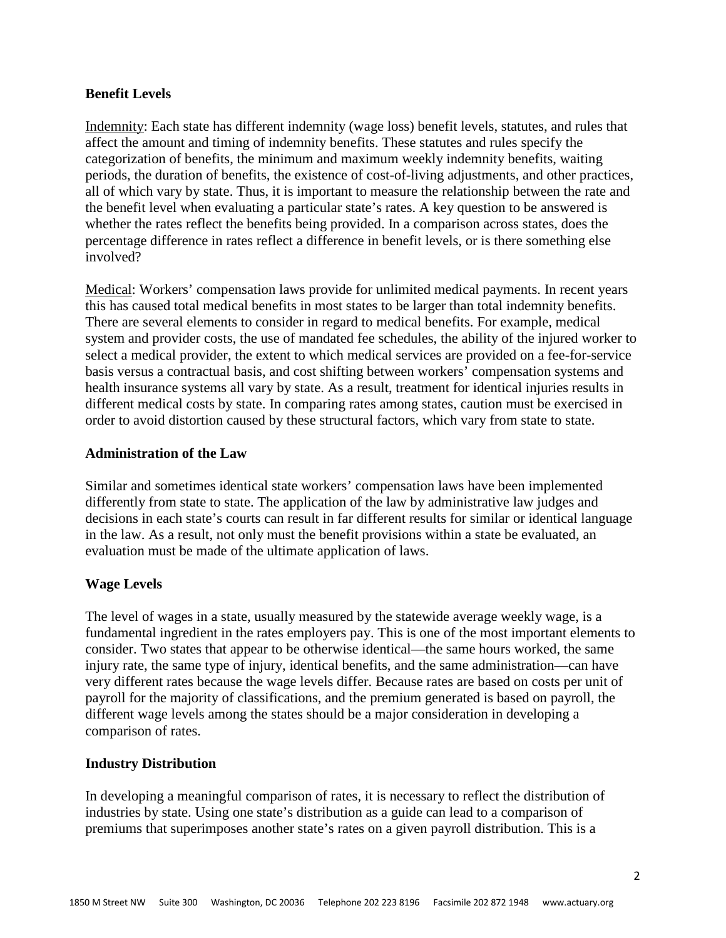### **Benefit Levels**

Indemnity: Each state has different indemnity (wage loss) benefit levels, statutes, and rules that affect the amount and timing of indemnity benefits. These statutes and rules specify the categorization of benefits, the minimum and maximum weekly indemnity benefits, waiting periods, the duration of benefits, the existence of cost-of-living adjustments, and other practices, all of which vary by state. Thus, it is important to measure the relationship between the rate and the benefit level when evaluating a particular state's rates. A key question to be answered is whether the rates reflect the benefits being provided. In a comparison across states, does the percentage difference in rates reflect a difference in benefit levels, or is there something else involved?

Medical: Workers' compensation laws provide for unlimited medical payments. In recent years this has caused total medical benefits in most states to be larger than total indemnity benefits. There are several elements to consider in regard to medical benefits. For example, medical system and provider costs, the use of mandated fee schedules, the ability of the injured worker to select a medical provider, the extent to which medical services are provided on a fee-for-service basis versus a contractual basis, and cost shifting between workers' compensation systems and health insurance systems all vary by state. As a result, treatment for identical injuries results in different medical costs by state. In comparing rates among states, caution must be exercised in order to avoid distortion caused by these structural factors, which vary from state to state.

### **Administration of the Law**

Similar and sometimes identical state workers' compensation laws have been implemented differently from state to state. The application of the law by administrative law judges and decisions in each state's courts can result in far different results for similar or identical language in the law. As a result, not only must the benefit provisions within a state be evaluated, an evaluation must be made of the ultimate application of laws.

# **Wage Levels**

The level of wages in a state, usually measured by the statewide average weekly wage, is a fundamental ingredient in the rates employers pay. This is one of the most important elements to consider. Two states that appear to be otherwise identical—the same hours worked, the same injury rate, the same type of injury, identical benefits, and the same administration—can have very different rates because the wage levels differ. Because rates are based on costs per unit of payroll for the majority of classifications, and the premium generated is based on payroll, the different wage levels among the states should be a major consideration in developing a comparison of rates.

#### **Industry Distribution**

In developing a meaningful comparison of rates, it is necessary to reflect the distribution of industries by state. Using one state's distribution as a guide can lead to a comparison of premiums that superimposes another state's rates on a given payroll distribution. This is a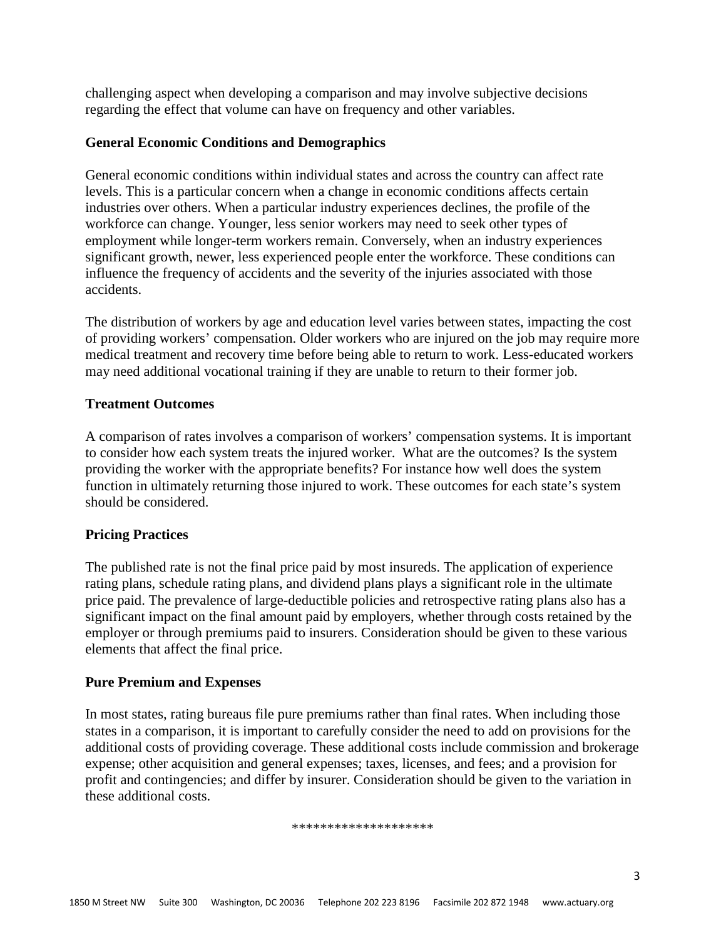challenging aspect when developing a comparison and may involve subjective decisions regarding the effect that volume can have on frequency and other variables.

## **General Economic Conditions and Demographics**

General economic conditions within individual states and across the country can affect rate levels. This is a particular concern when a change in economic conditions affects certain industries over others. When a particular industry experiences declines, the profile of the workforce can change. Younger, less senior workers may need to seek other types of employment while longer-term workers remain. Conversely, when an industry experiences significant growth, newer, less experienced people enter the workforce. These conditions can influence the frequency of accidents and the severity of the injuries associated with those accidents.

The distribution of workers by age and education level varies between states, impacting the cost of providing workers' compensation. Older workers who are injured on the job may require more medical treatment and recovery time before being able to return to work. Less-educated workers may need additional vocational training if they are unable to return to their former job.

### **Treatment Outcomes**

A comparison of rates involves a comparison of workers' compensation systems. It is important to consider how each system treats the injured worker. What are the outcomes? Is the system providing the worker with the appropriate benefits? For instance how well does the system function in ultimately returning those injured to work. These outcomes for each state's system should be considered.

# **Pricing Practices**

The published rate is not the final price paid by most insureds. The application of experience rating plans, schedule rating plans, and dividend plans plays a significant role in the ultimate price paid. The prevalence of large-deductible policies and retrospective rating plans also has a significant impact on the final amount paid by employers, whether through costs retained by the employer or through premiums paid to insurers. Consideration should be given to these various elements that affect the final price.

# **Pure Premium and Expenses**

In most states, rating bureaus file pure premiums rather than final rates. When including those states in a comparison, it is important to carefully consider the need to add on provisions for the additional costs of providing coverage. These additional costs include commission and brokerage expense; other acquisition and general expenses; taxes, licenses, and fees; and a provision for profit and contingencies; and differ by insurer. Consideration should be given to the variation in these additional costs.

#### \*\*\*\*\*\*\*\*\*\*\*\*\*\*\*\*\*\*\*\*